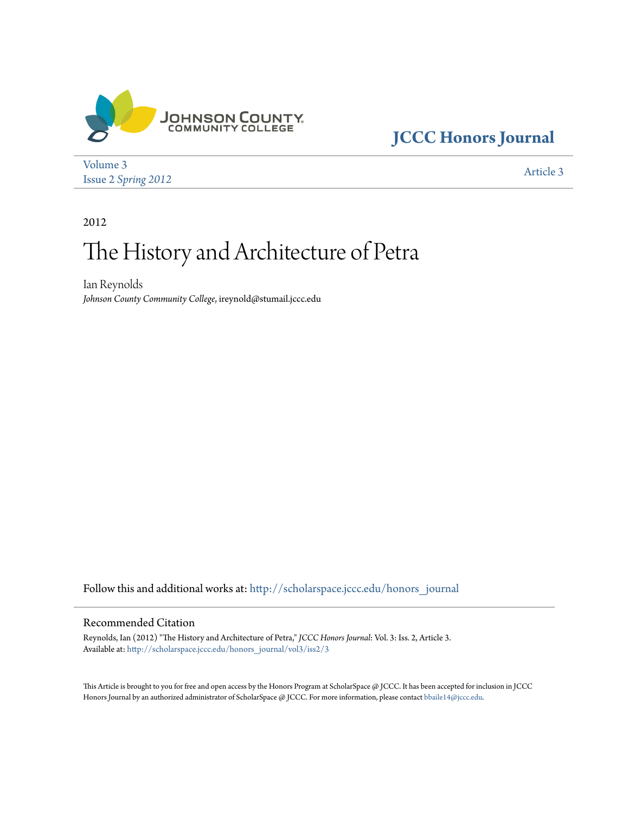

## **[JCCC Honors Journal](http://scholarspace.jccc.edu/honors_journal?utm_source=scholarspace.jccc.edu%2Fhonors_journal%2Fvol3%2Fiss2%2F3&utm_medium=PDF&utm_campaign=PDFCoverPages)**

[Volume 3](http://scholarspace.jccc.edu/honors_journal/vol3?utm_source=scholarspace.jccc.edu%2Fhonors_journal%2Fvol3%2Fiss2%2F3&utm_medium=PDF&utm_campaign=PDFCoverPages) Issue 2 *[Spring 2012](http://scholarspace.jccc.edu/honors_journal/vol3/iss2?utm_source=scholarspace.jccc.edu%2Fhonors_journal%2Fvol3%2Fiss2%2F3&utm_medium=PDF&utm_campaign=PDFCoverPages)* [Article 3](http://scholarspace.jccc.edu/honors_journal/vol3/iss2/3?utm_source=scholarspace.jccc.edu%2Fhonors_journal%2Fvol3%2Fiss2%2F3&utm_medium=PDF&utm_campaign=PDFCoverPages)

2012

# The History and Architecture of Petra

Ian Reynolds *Johnson County Community College*, ireynold@stumail.jccc.edu

Follow this and additional works at: [http://scholarspace.jccc.edu/honors\\_journal](http://scholarspace.jccc.edu/honors_journal?utm_source=scholarspace.jccc.edu%2Fhonors_journal%2Fvol3%2Fiss2%2F3&utm_medium=PDF&utm_campaign=PDFCoverPages)

### Recommended Citation

Reynolds, Ian (2012) "The History and Architecture of Petra," *JCCC Honors Journal*: Vol. 3: Iss. 2, Article 3. Available at: [http://scholarspace.jccc.edu/honors\\_journal/vol3/iss2/3](http://scholarspace.jccc.edu/honors_journal/vol3/iss2/3?utm_source=scholarspace.jccc.edu%2Fhonors_journal%2Fvol3%2Fiss2%2F3&utm_medium=PDF&utm_campaign=PDFCoverPages)

This Article is brought to you for free and open access by the Honors Program at ScholarSpace @ JCCC. It has been accepted for inclusion in JCCC Honors Journal by an authorized administrator of ScholarSpace @ JCCC. For more information, please contact [bbaile14@jccc.edu.](mailto:bbaile14@jccc.edu)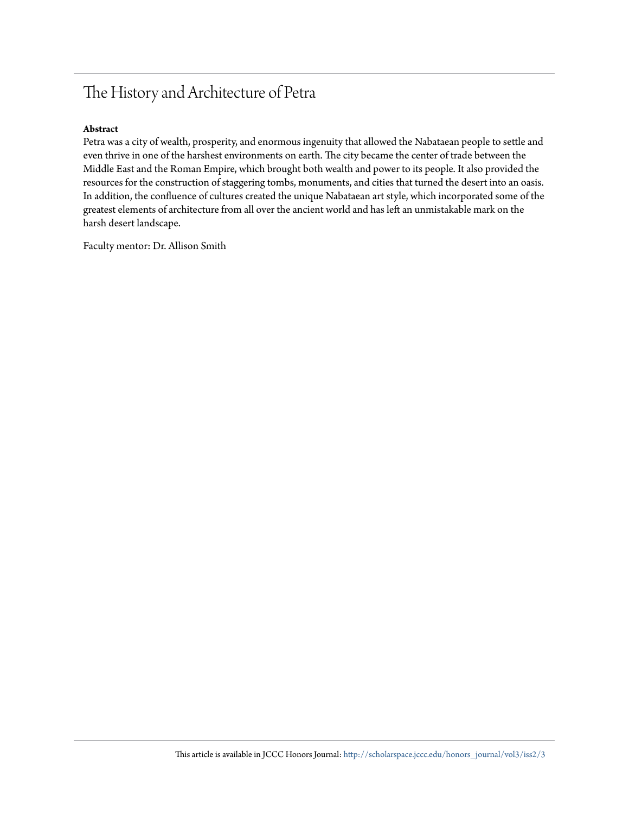### The History and Architecture of Petra

#### **Abstract**

Petra was a city of wealth, prosperity, and enormous ingenuity that allowed the Nabataean people to settle and even thrive in one of the harshest environments on earth. The city became the center of trade between the Middle East and the Roman Empire, which brought both wealth and power to its people. It also provided the resources for the construction of staggering tombs, monuments, and cities that turned the desert into an oasis. In addition, the confluence of cultures created the unique Nabataean art style, which incorporated some of the greatest elements of architecture from all over the ancient world and has left an unmistakable mark on the harsh desert landscape.

Faculty mentor: Dr. Allison Smith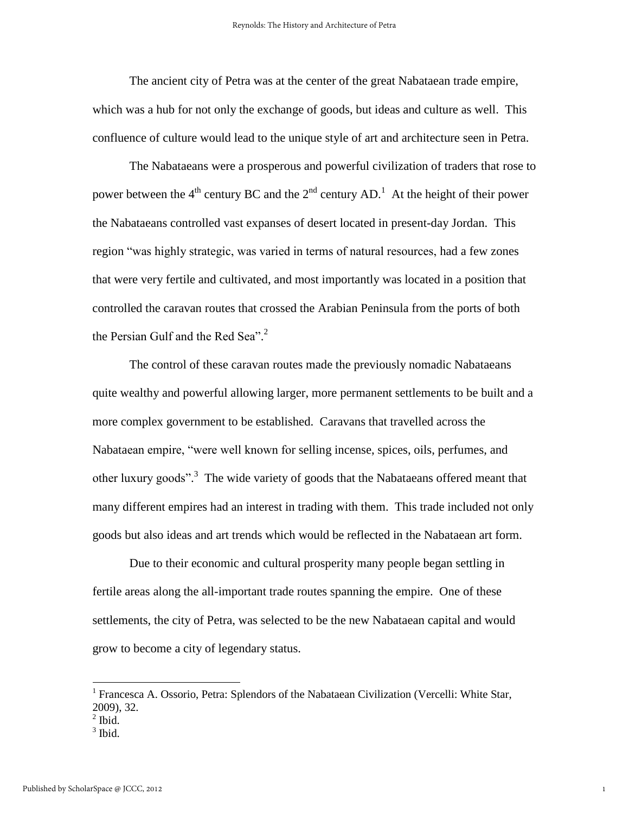The ancient city of Petra was at the center of the great Nabataean trade empire, which was a hub for not only the exchange of goods, but ideas and culture as well. This confluence of culture would lead to the unique style of art and architecture seen in Petra.

 The Nabataeans were a prosperous and powerful civilization of traders that rose to power between the 4<sup>th</sup> century BC and the  $2<sup>nd</sup>$  century AD.<sup>1</sup> At the height of their power the Nabataeans controlled vast expanses of desert located in present-day Jordan. This region "was highly strategic, was varied in terms of natural resources, had a few zones that were very fertile and cultivated, and most importantly was located in a position that controlled the caravan routes that crossed the Arabian Peninsula from the ports of both the Persian Gulf and the Red Sea". 2

 The control of these caravan routes made the previously nomadic Nabataeans quite wealthy and powerful allowing larger, more permanent settlements to be built and a more complex government to be established. Caravans that travelled across the Nabataean empire, "were well known for selling incense, spices, oils, perfumes, and other luxury goods".<sup>3</sup> The wide variety of goods that the Nabataeans offered meant that many different empires had an interest in trading with them. This trade included not only goods but also ideas and art trends which would be reflected in the Nabataean art form.

 Due to their economic and cultural prosperity many people began settling in fertile areas along the all-important trade routes spanning the empire. One of these settlements, the city of Petra, was selected to be the new Nabataean capital and would grow to become a city of legendary status.

 $\overline{a}$ 

<sup>3</sup> Ibid.

<sup>&</sup>lt;sup>1</sup> Francesca A. Ossorio, Petra: Splendors of the Nabataean Civilization (Vercelli: White Star, 2009), 32.

 $<sup>2</sup>$  Ibid.</sup>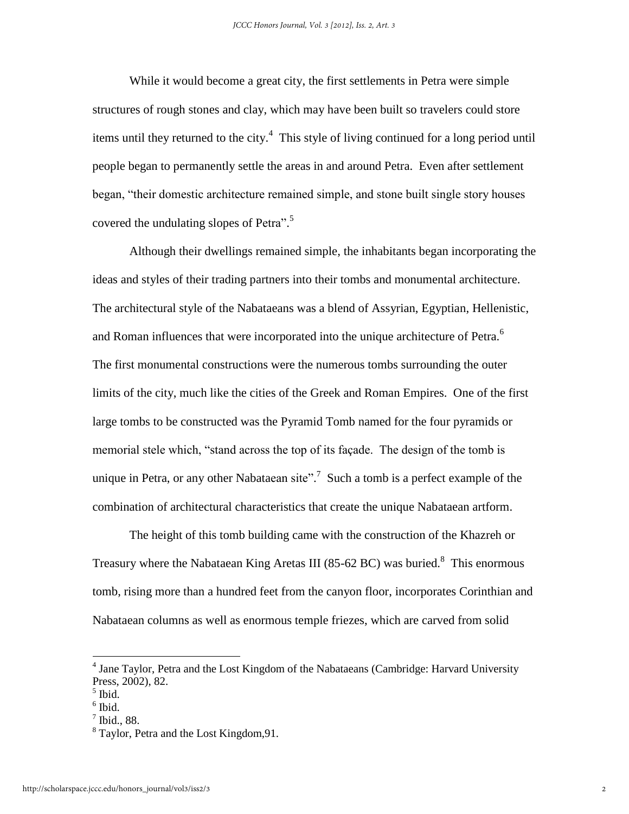While it would become a great city, the first settlements in Petra were simple structures of rough stones and clay, which may have been built so travelers could store items until they returned to the city. $4$  This style of living continued for a long period until people began to permanently settle the areas in and around Petra. Even after settlement began, "their domestic architecture remained simple, and stone built single story houses covered the undulating slopes of Petra".<sup>5</sup>

 Although their dwellings remained simple, the inhabitants began incorporating the ideas and styles of their trading partners into their tombs and monumental architecture. The architectural style of the Nabataeans was a blend of Assyrian, Egyptian, Hellenistic, and Roman influences that were incorporated into the unique architecture of Petra.<sup>6</sup> The first monumental constructions were the numerous tombs surrounding the outer limits of the city, much like the cities of the Greek and Roman Empires. One of the first large tombs to be constructed was the Pyramid Tomb named for the four pyramids or memorial stele which, "stand across the top of its façade. The design of the tomb is unique in Petra, or any other Nabataean site".<sup>7</sup> Such a tomb is a perfect example of the combination of architectural characteristics that create the unique Nabataean artform.

 The height of this tomb building came with the construction of the Khazreh or Treasury where the Nabataean King Aretas III (85-62 BC) was buried.<sup>8</sup> This enormous tomb, rising more than a hundred feet from the canyon floor, incorporates Corinthian and Nabataean columns as well as enormous temple friezes, which are carved from solid

 $\overline{a}$ 

<sup>&</sup>lt;sup>4</sup> Jane Taylor, Petra and the Lost Kingdom of the Nabataeans (Cambridge: Harvard University Press, 2002), 82.

<sup>5</sup> Ibid.

 $<sup>6</sup>$  Ibid.</sup>

<sup>7</sup> Ibid., 88.

<sup>&</sup>lt;sup>8</sup> Taylor, Petra and the Lost Kingdom, 91.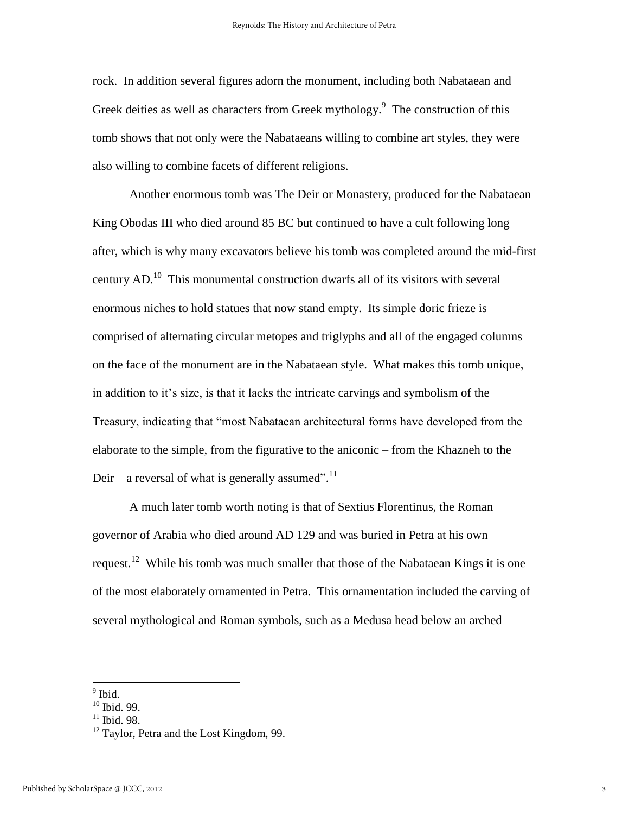rock. In addition several figures adorn the monument, including both Nabataean and Greek deities as well as characters from Greek mythology.<sup>9</sup> The construction of this tomb shows that not only were the Nabataeans willing to combine art styles, they were also willing to combine facets of different religions.

Another enormous tomb was The Deir or Monastery, produced for the Nabataean King Obodas III who died around 85 BC but continued to have a cult following long after, which is why many excavators believe his tomb was completed around the mid-first century  $AD<sup>10</sup>$ . This monumental construction dwarfs all of its visitors with several enormous niches to hold statues that now stand empty. Its simple doric frieze is comprised of alternating circular metopes and triglyphs and all of the engaged columns on the face of the monument are in the Nabataean style. What makes this tomb unique, in addition to it's size, is that it lacks the intricate carvings and symbolism of the Treasury, indicating that "most Nabataean architectural forms have developed from the elaborate to the simple, from the figurative to the aniconic – from the Khazneh to the Deir – a reversal of what is generally assumed".<sup>11</sup>

 A much later tomb worth noting is that of Sextius Florentinus, the Roman governor of Arabia who died around AD 129 and was buried in Petra at his own request.<sup>12</sup> While his tomb was much smaller that those of the Nabataean Kings it is one of the most elaborately ornamented in Petra. This ornamentation included the carving of several mythological and Roman symbols, such as a Medusa head below an arched

<sup>&</sup>lt;sup>9</sup> Ibid.

 $10$  Ibid. 99.

 $11$  Ibid. 98.

<sup>&</sup>lt;sup>12</sup> Taylor, Petra and the Lost Kingdom, 99.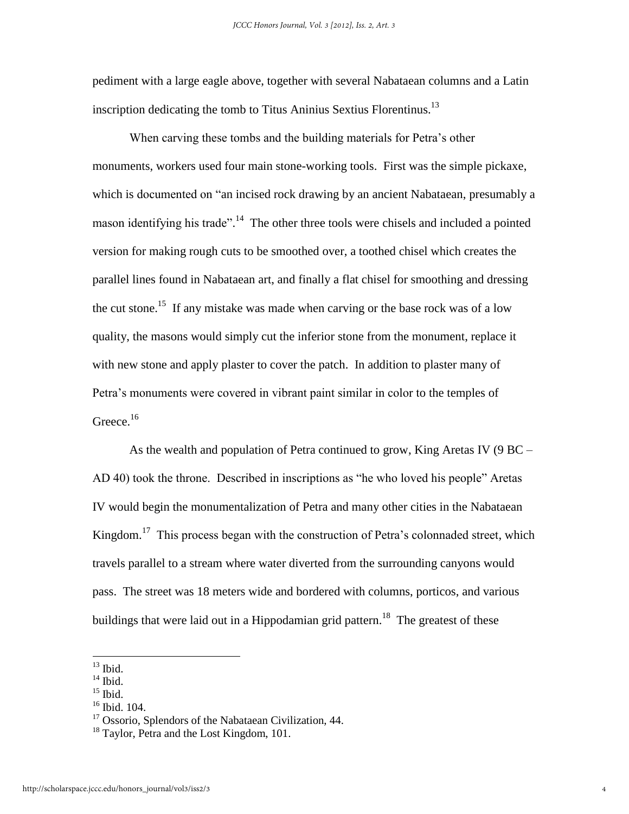pediment with a large eagle above, together with several Nabataean columns and a Latin inscription dedicating the tomb to Titus Aninius Sextius Florentinus.<sup>13</sup>

When carving these tombs and the building materials for Petra's other monuments, workers used four main stone-working tools. First was the simple pickaxe, which is documented on "an incised rock drawing by an ancient Nabataean, presumably a mason identifying his trade".<sup>14</sup> The other three tools were chisels and included a pointed version for making rough cuts to be smoothed over, a toothed chisel which creates the parallel lines found in Nabataean art, and finally a flat chisel for smoothing and dressing the cut stone.<sup>15</sup> If any mistake was made when carving or the base rock was of a low quality, the masons would simply cut the inferior stone from the monument, replace it with new stone and apply plaster to cover the patch. In addition to plaster many of Petra's monuments were covered in vibrant paint similar in color to the temples of Greece. $16$ 

 As the wealth and population of Petra continued to grow, King Aretas IV (9 BC – AD 40) took the throne. Described in inscriptions as "he who loved his people" Aretas IV would begin the monumentalization of Petra and many other cities in the Nabataean Kingdom.<sup>17</sup> This process began with the construction of Petra's colonnaded street, which travels parallel to a stream where water diverted from the surrounding canyons would pass. The street was 18 meters wide and bordered with columns, porticos, and various buildings that were laid out in a Hippodamian grid pattern.<sup>18</sup> The greatest of these

 $\overline{\phantom{a}}$ 

 $14$  Ibid.

 $13$  Ibid.

 $15$  Ibid.

<sup>16</sup> Ibid. 104.

<sup>&</sup>lt;sup>17</sup> Ossorio, Splendors of the Nabataean Civilization, 44.

<sup>&</sup>lt;sup>18</sup> Taylor, Petra and the Lost Kingdom, 101.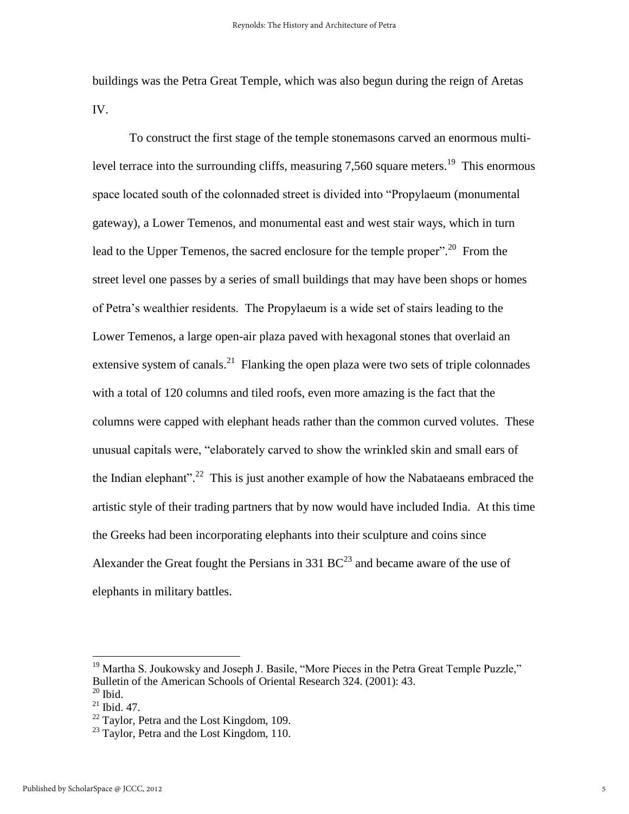buildings was the Petra Great Temple, which was also begun during the reign of Aretas IV.

 To construct the first stage of the temple stonemasons carved an enormous multilevel terrace into the surrounding cliffs, measuring 7,560 square meters.<sup>19</sup> This enormous space located south of the colonnaded street is divided into "Propylaeum (monumental gateway), a Lower Temenos, and monumental east and west stair ways, which in turn lead to the Upper Temenos, the sacred enclosure for the temple proper".<sup>20</sup> From the street level one passes by a series of small buildings that may have been shops or homes of Petra's wealthier residents. The Propylaeum is a wide set of stairs leading to the Lower Temenos, a large open-air plaza paved with hexagonal stones that overlaid an extensive system of canals.<sup>21</sup> Flanking the open plaza were two sets of triple colonnades with a total of 120 columns and tiled roofs, even more amazing is the fact that the columns were capped with elephant heads rather than the common curved volutes. These unusual capitals were, "elaborately carved to show the wrinkled skin and small ears of the Indian elephant".<sup>22</sup> This is just another example of how the Nabataeans embraced the artistic style of their trading partners that by now would have included India. At this time the Greeks had been incorporating elephants into their sculpture and coins since Alexander the Great fought the Persians in 331  $BC^{23}$  and became aware of the use of elephants in military battles.

<sup>&</sup>lt;sup>19</sup> Martha S. Joukowsky and Joseph J. Basile, "More Pieces in the Petra Great Temple Puzzle," Bulletin of the American Schools of Oriental Research 324. (2001): 43.  $20$  Ibid.

 $21$  Ibid. 47.

<sup>&</sup>lt;sup>22</sup> Taylor, Petra and the Lost Kingdom, 109.

<sup>&</sup>lt;sup>23</sup> Taylor, Petra and the Lost Kingdom, 110.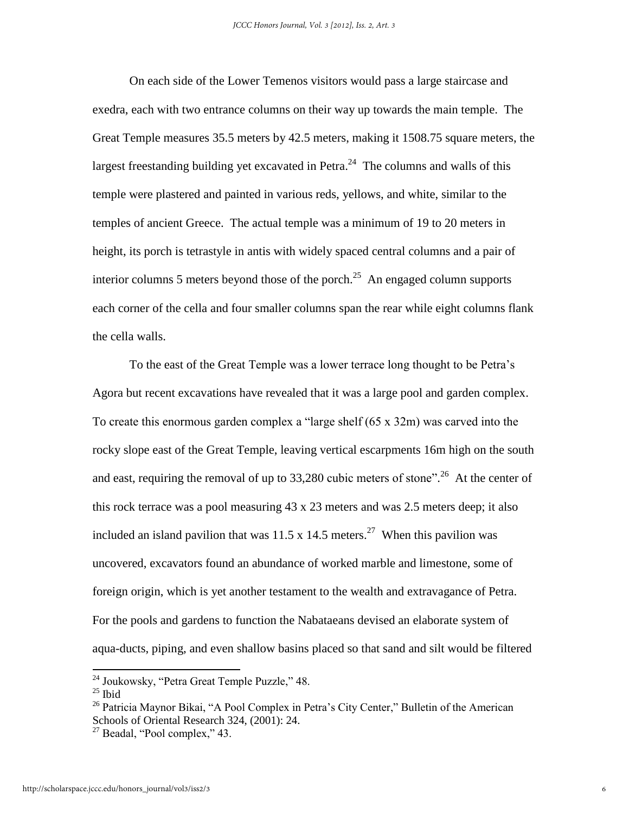On each side of the Lower Temenos visitors would pass a large staircase and exedra, each with two entrance columns on their way up towards the main temple. The Great Temple measures 35.5 meters by 42.5 meters, making it 1508.75 square meters, the largest freestanding building yet excavated in Petra.<sup>24</sup> The columns and walls of this temple were plastered and painted in various reds, yellows, and white, similar to the temples of ancient Greece. The actual temple was a minimum of 19 to 20 meters in height, its porch is tetrastyle in antis with widely spaced central columns and a pair of interior columns 5 meters beyond those of the porch.<sup>25</sup> An engaged column supports each corner of the cella and four smaller columns span the rear while eight columns flank the cella walls.

 To the east of the Great Temple was a lower terrace long thought to be Petra's Agora but recent excavations have revealed that it was a large pool and garden complex. To create this enormous garden complex a "large shelf (65 x 32m) was carved into the rocky slope east of the Great Temple, leaving vertical escarpments 16m high on the south and east, requiring the removal of up to 33,280 cubic meters of stone".<sup>26</sup> At the center of this rock terrace was a pool measuring 43 x 23 meters and was 2.5 meters deep; it also included an island pavilion that was  $11.5 \times 14.5$  meters.<sup>27</sup> When this pavilion was uncovered, excavators found an abundance of worked marble and limestone, some of foreign origin, which is yet another testament to the wealth and extravagance of Petra. For the pools and gardens to function the Nabataeans devised an elaborate system of aqua-ducts, piping, and even shallow basins placed so that sand and silt would be filtered

<sup>&</sup>lt;sup>24</sup> Joukowsky, "Petra Great Temple Puzzle," 48.

 $25$  Ibid

 $26$  Patricia Maynor Bikai, "A Pool Complex in Petra's City Center," Bulletin of the American Schools of Oriental Research 324, (2001): 24.

 $^{27}$  Beadal, "Pool complex," 43.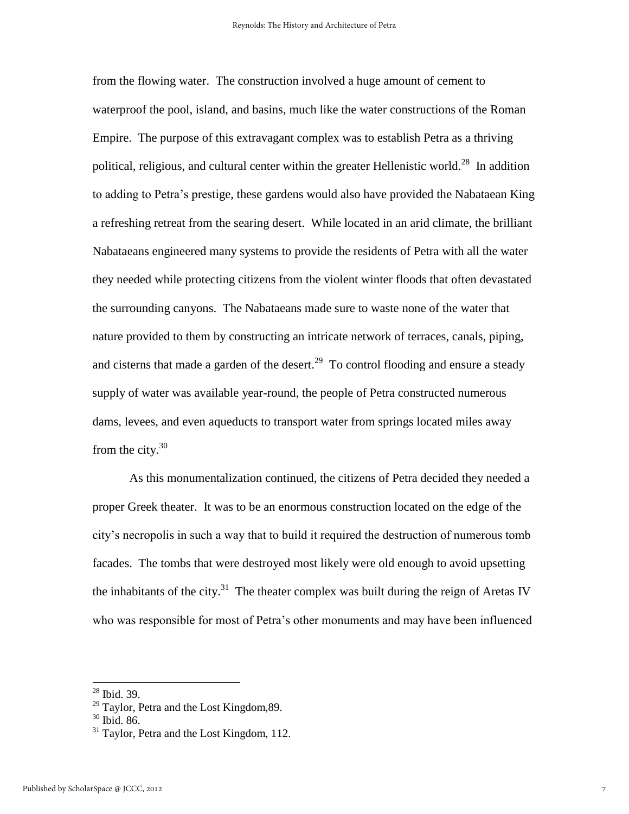from the flowing water. The construction involved a huge amount of cement to waterproof the pool, island, and basins, much like the water constructions of the Roman Empire. The purpose of this extravagant complex was to establish Petra as a thriving political, religious, and cultural center within the greater Hellenistic world.<sup>28</sup> In addition to adding to Petra's prestige, these gardens would also have provided the Nabataean King a refreshing retreat from the searing desert. While located in an arid climate, the brilliant Nabataeans engineered many systems to provide the residents of Petra with all the water they needed while protecting citizens from the violent winter floods that often devastated the surrounding canyons. The Nabataeans made sure to waste none of the water that nature provided to them by constructing an intricate network of terraces, canals, piping, and cisterns that made a garden of the desert.<sup>29</sup> To control flooding and ensure a steady supply of water was available year-round, the people of Petra constructed numerous dams, levees, and even aqueducts to transport water from springs located miles away from the city. $30$ 

 As this monumentalization continued, the citizens of Petra decided they needed a proper Greek theater. It was to be an enormous construction located on the edge of the city's necropolis in such a way that to build it required the destruction of numerous tomb facades. The tombs that were destroyed most likely were old enough to avoid upsetting the inhabitants of the city.<sup>31</sup> The theater complex was built during the reign of Aretas IV who was responsible for most of Petra's other monuments and may have been influenced

<sup>28</sup> Ibid. 39.

<sup>&</sup>lt;sup>29</sup> Taylor, Petra and the Lost Kingdom, 89.

<sup>30</sup> Ibid. 86.

<sup>&</sup>lt;sup>31</sup> Taylor, Petra and the Lost Kingdom, 112.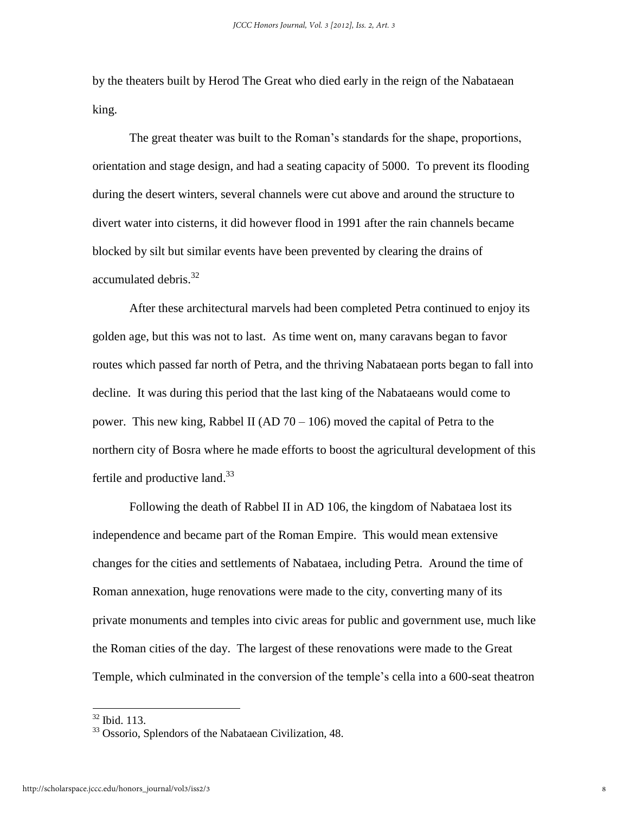by the theaters built by Herod The Great who died early in the reign of the Nabataean king.

 The great theater was built to the Roman's standards for the shape, proportions, orientation and stage design, and had a seating capacity of 5000. To prevent its flooding during the desert winters, several channels were cut above and around the structure to divert water into cisterns, it did however flood in 1991 after the rain channels became blocked by silt but similar events have been prevented by clearing the drains of accumulated debris.<sup>32</sup>

 After these architectural marvels had been completed Petra continued to enjoy its golden age, but this was not to last. As time went on, many caravans began to favor routes which passed far north of Petra, and the thriving Nabataean ports began to fall into decline. It was during this period that the last king of the Nabataeans would come to power. This new king, Rabbel II (AD  $70 - 106$ ) moved the capital of Petra to the northern city of Bosra where he made efforts to boost the agricultural development of this fertile and productive land.<sup>33</sup>

 Following the death of Rabbel II in AD 106, the kingdom of Nabataea lost its independence and became part of the Roman Empire. This would mean extensive changes for the cities and settlements of Nabataea, including Petra. Around the time of Roman annexation, huge renovations were made to the city, converting many of its private monuments and temples into civic areas for public and government use, much like the Roman cities of the day. The largest of these renovations were made to the Great Temple, which culminated in the conversion of the temple's cella into a 600-seat theatron

l

<sup>32</sup> Ibid. 113.

<sup>33</sup> Ossorio, Splendors of the Nabataean Civilization, 48.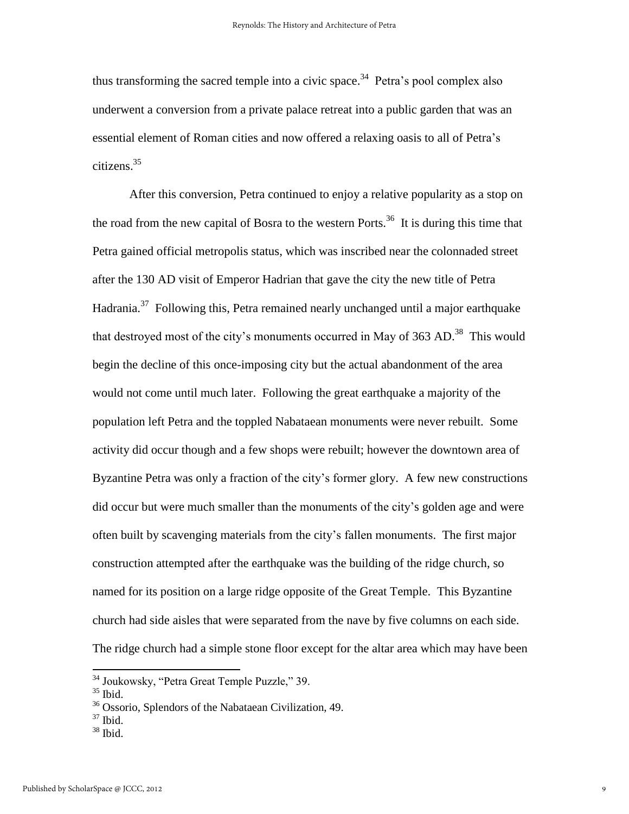thus transforming the sacred temple into a civic space.<sup>34</sup> Petra's pool complex also underwent a conversion from a private palace retreat into a public garden that was an essential element of Roman cities and now offered a relaxing oasis to all of Petra's citizens.<sup>35</sup>

 After this conversion, Petra continued to enjoy a relative popularity as a stop on the road from the new capital of Bosra to the western Ports.<sup>36</sup> It is during this time that Petra gained official metropolis status, which was inscribed near the colonnaded street after the 130 AD visit of Emperor Hadrian that gave the city the new title of Petra Hadrania.<sup>37</sup> Following this, Petra remained nearly unchanged until a major earthquake that destroyed most of the city's monuments occurred in May of 363 AD.<sup>38</sup> This would begin the decline of this once-imposing city but the actual abandonment of the area would not come until much later. Following the great earthquake a majority of the population left Petra and the toppled Nabataean monuments were never rebuilt. Some activity did occur though and a few shops were rebuilt; however the downtown area of Byzantine Petra was only a fraction of the city's former glory. A few new constructions did occur but were much smaller than the monuments of the city's golden age and were often built by scavenging materials from the city's fallen monuments. The first major construction attempted after the earthquake was the building of the ridge church, so named for its position on a large ridge opposite of the Great Temple. This Byzantine church had side aisles that were separated from the nave by five columns on each side. The ridge church had a simple stone floor except for the altar area which may have been

- $37$  Ibid.
- <sup>38</sup> Ibid.

<sup>&</sup>lt;sup>34</sup> Joukowsky, "Petra Great Temple Puzzle," 39.

 $35$  Ibid.

<sup>36</sup> Ossorio, Splendors of the Nabataean Civilization, 49.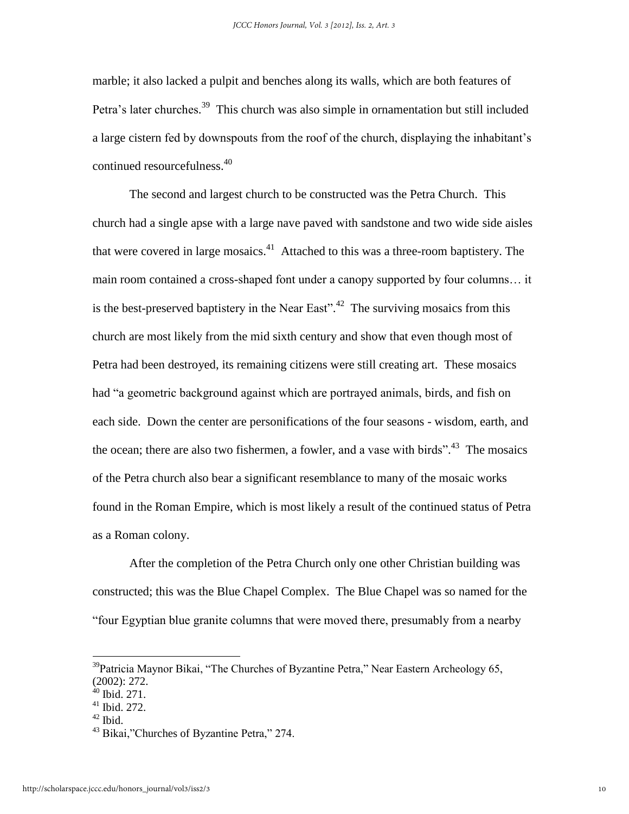marble; it also lacked a pulpit and benches along its walls, which are both features of Petra's later churches.<sup>39</sup> This church was also simple in ornamentation but still included a large cistern fed by downspouts from the roof of the church, displaying the inhabitant's continued resourcefulness.<sup>40</sup>

 The second and largest church to be constructed was the Petra Church. This church had a single apse with a large nave paved with sandstone and two wide side aisles that were covered in large mosaics. $41$  Attached to this was a three-room baptistery. The main room contained a cross-shaped font under a canopy supported by four columns… it is the best-preserved baptistery in the Near East".<sup>42</sup> The surviving mosaics from this church are most likely from the mid sixth century and show that even though most of Petra had been destroyed, its remaining citizens were still creating art. These mosaics had "a geometric background against which are portrayed animals, birds, and fish on each side. Down the center are personifications of the four seasons - wisdom, earth, and the ocean; there are also two fishermen, a fowler, and a vase with birds".<sup>43</sup> The mosaics of the Petra church also bear a significant resemblance to many of the mosaic works found in the Roman Empire, which is most likely a result of the continued status of Petra as a Roman colony.

 After the completion of the Petra Church only one other Christian building was constructed; this was the Blue Chapel Complex. The Blue Chapel was so named for the "four Egyptian blue granite columns that were moved there, presumably from a nearby

 $42$  Ibid.

 $39$ Patricia Maynor Bikai, "The Churches of Byzantine Petra," Near Eastern Archeology 65, (2002): 272.

<sup>&</sup>lt;sup>40</sup> Ibid. 271.

 $41$  Ibid. 272.

<sup>43</sup> Bikai,"Churches of Byzantine Petra," 274.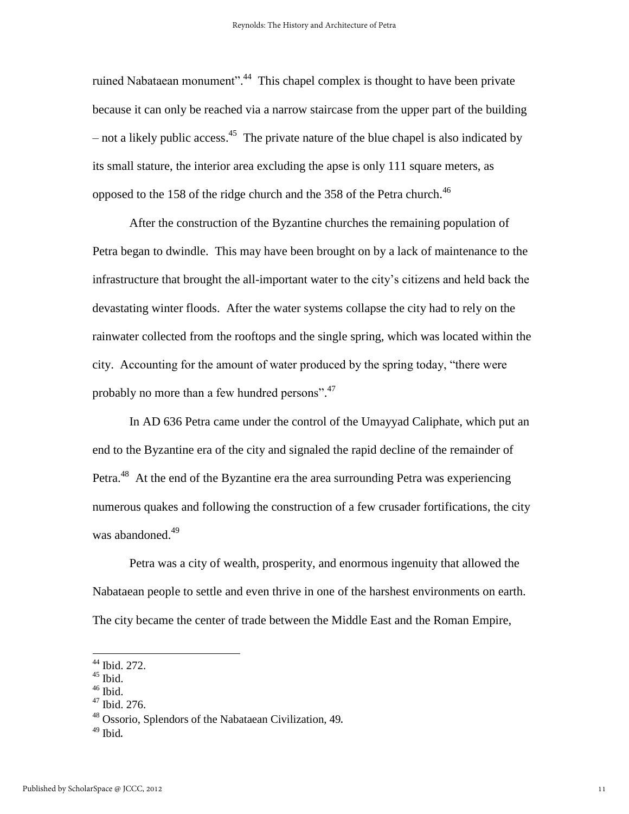ruined Nabataean monument".<sup>44</sup> This chapel complex is thought to have been private because it can only be reached via a narrow staircase from the upper part of the building – not a likely public access.<sup>45</sup> The private nature of the blue chapel is also indicated by its small stature, the interior area excluding the apse is only 111 square meters, as opposed to the 158 of the ridge church and the 358 of the Petra church.<sup>46</sup>

 After the construction of the Byzantine churches the remaining population of Petra began to dwindle. This may have been brought on by a lack of maintenance to the infrastructure that brought the all-important water to the city's citizens and held back the devastating winter floods. After the water systems collapse the city had to rely on the rainwater collected from the rooftops and the single spring, which was located within the city. Accounting for the amount of water produced by the spring today, "there were probably no more than a few hundred persons".<sup>47</sup>

 In AD 636 Petra came under the control of the Umayyad Caliphate, which put an end to the Byzantine era of the city and signaled the rapid decline of the remainder of Petra.<sup>48</sup> At the end of the Byzantine era the area surrounding Petra was experiencing numerous quakes and following the construction of a few crusader fortifications, the city was abandoned.<sup>49</sup>

 Petra was a city of wealth, prosperity, and enormous ingenuity that allowed the Nabataean people to settle and even thrive in one of the harshest environments on earth. The city became the center of trade between the Middle East and the Roman Empire,

<sup>44</sup> Ibid. 272.

 $45$  Ibid.

 $46$  Ibid.

<sup>47</sup> Ibid. 276.

<sup>48</sup> Ossorio, Splendors of the Nabataean Civilization, 49.

 $49$  Ibid.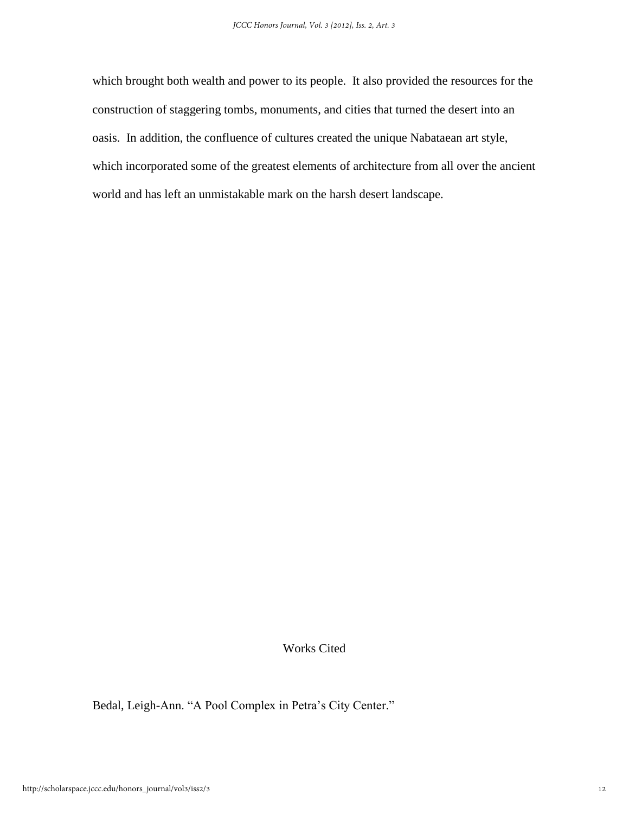which brought both wealth and power to its people. It also provided the resources for the construction of staggering tombs, monuments, and cities that turned the desert into an oasis. In addition, the confluence of cultures created the unique Nabataean art style, which incorporated some of the greatest elements of architecture from all over the ancient world and has left an unmistakable mark on the harsh desert landscape.

### Works Cited

Bedal, Leigh-Ann. "A Pool Complex in Petra's City Center."